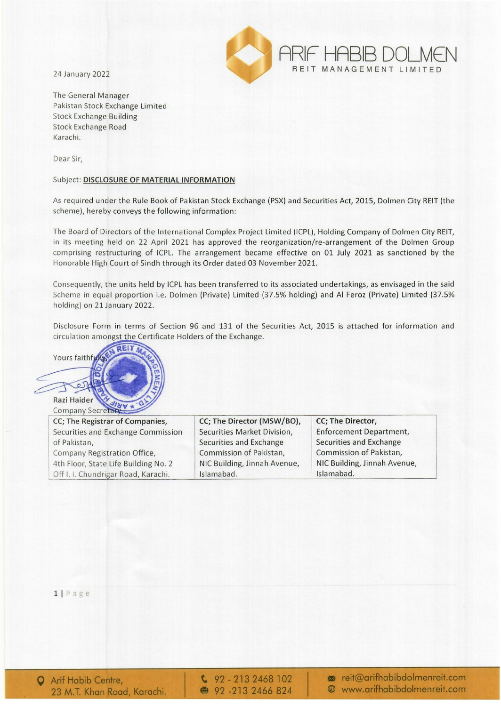24 January 2022



The General Manager Pakistan Stock Exchange Limited Stock Exchange Building Stock Exchange Road Karachi.

Dear Sir,

## Subject: DISCLOSURE OF MATERIAL INFORMATION

As required under the Rule Book of Pakistan Stock Exchange (PSX) and Securities Act, 2015, Dolmen City REIT (the scheme), hereby conveys the following information:

The Board of Directors of the International Complex Project Limited (ICPL), Holding Company of Dolmen City REIT, in its meeting held on 22 April 2021 has approved the reorganization/re-arrangement of the Dolmen Group comprising restructuring of ICPL. The arrangement became effective on 01 July 2021 as sanctioned by the Honorable High Court of Sindh through its Order dated 03 November 2021.

Consequently, the units held by ICPL has been transferred to its associated undertakings, as envisaged in the said Scheme in equal proportion i.e. Dolmen (Private) Limited (37.5% holding) and AI Feroz (Private) Limited (37.5% holding) on 21 January 2022.

Disclosure Form in terms of Section 96 and 131 of the Securities Act, 2015 is attached for information and Ingst the Certificate Holders of the Exchange.



| CC; The Registrar of Companies,      | CC; The Director (MSW/BO),   | CC; The Director,              |
|--------------------------------------|------------------------------|--------------------------------|
| Securities and Exchange Commission   | Securities Market Division,  | <b>Enforcement Department,</b> |
| of Pakistan,                         | Securities and Exchange      | Securities and Exchange        |
| Company Registration Office,         | Commission of Pakistan,      | Commission of Pakistan,        |
| 4th Floor, State Life Building No. 2 | NIC Building, Jinnah Avenue, | NIC Building, Jinnah Avenue,   |
| Off I. I. Chundrigar Road, Karachi.  | Islamabad.                   | Islamabad.                     |

 $1 | P \nexists g e$ 

 $\frac{6}{2}$  92 - 213 2468 102 • 92 -213 2466 824

 $\blacksquare$  reit@arifhabibdolmenreit.com e www.arifhabibdolmenreit.com